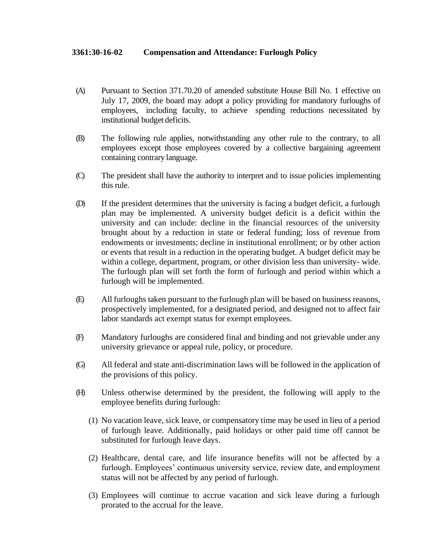## **3361:30-16-02 Compensation and Attendance: Furlough Policy**

- (A) Pursuant to Section 371.70.20 of amended substitute House Bill No. 1 effective on July 17, 2009, the board may adopt a policy providing for mandatory furloughs of employees, including faculty, to achieve spending reductions necessitated by institutional budget deficits.
- (B) The following rule applies, notwithstanding any other rule to the contrary, to all employees except those employees covered by a collective bargaining agreement containing contrary language.
- (C) The president shall have the authority to interpret and to issue policies implementing this rule.
- (D) If the president determines that the university is facing a budget deficit, a furlough plan may be implemented. A university budget deficit is a deficit within the university and can include: decline in the financial resources of the university brought about by a reduction in state or federal funding; loss of revenue from endowments or investments; decline in institutional enrollment; or by other action or events that result in a reduction in the operating budget. A budget deficit may be within a college, department, program, or other division less than university- wide. The furlough plan will set forth the form of furlough and period within which a furlough will be implemented.
- (E) All furloughs taken pursuant to the furlough plan will be based on business reasons, prospectively implemented, for a designated period, and designed not to affect fair labor standards act exempt status for exempt employees.
- (F) Mandatory furloughs are considered final and binding and not grievable under any university grievance or appeal rule, policy, or procedure.
- (G) All federal and state anti-discrimination laws will be followed in the application of the provisions of this policy.
- (H) Unless otherwise determined by the president, the following will apply to the employee benefits during furlough:
	- (1) No vacation leave, sick leave, or compensatory time may be used in lieu of a period of furlough leave. Additionally, paid holidays or other paid time off cannot be substituted for furlough leave days.
	- (2) Healthcare, dental care, and life insurance benefits will not be affected by a furlough. Employees' continuous university service, review date, and employment status will not be affected by any period of furlough.
	- (3) Employees will continue to accrue vacation and sick leave during a furlough prorated to the accrual for the leave.